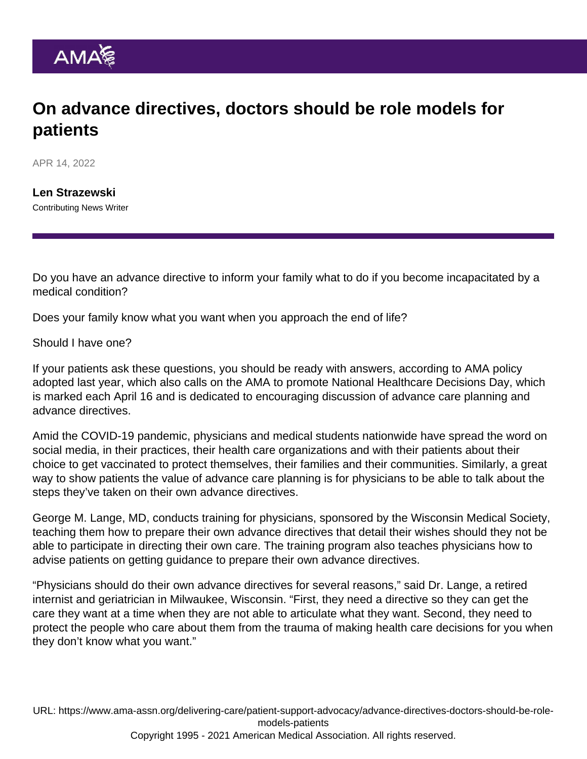## On advance directives, doctors should be role models for patients

APR 14, 2022

[Len Strazewski](https://www.ama-assn.org/news-leadership-viewpoints/authors-news-leadership-viewpoints/len-strazewski) Contributing News Writer

Do you have an advance directive to inform your family what to do if you become incapacitated by a medical condition?

Does your family know what you want when you approach the end of life?

## Should I have one?

If your patients ask these questions, you should be ready with answers, according to AMA [policy](https://policysearch.ama-assn.org/policyfinder/detail/TIMELY PROMOTION AND 3 ASSISTANCE IN ADVANCE CARE PLANNING AND 4 ADVANCE DIRECTIVES?uri=/AMADoc/directives.xml-D-140.953.xml) [adopted last year](https://policysearch.ama-assn.org/policyfinder/detail/TIMELY PROMOTION AND 3 ASSISTANCE IN ADVANCE CARE PLANNING AND 4 ADVANCE DIRECTIVES?uri=/AMADoc/directives.xml-D-140.953.xml), which also calls on the AMA to promote National Healthcare Decisions Day, which is marked each April 16 and is dedicated to encouraging discussion of advance care planning and advance directives.

Amid the COVID-19 pandemic, physicians and medical students nationwide have spread the word on social media, in their practices, their health care organizations and with their patients about their choice to get vaccinated to protect themselves, their families and their communities. Similarly, a great way to show patients the value of advance care planning is for physicians to be able to talk about the steps they've taken on their own advance directives.

George M. Lange, MD, conducts training for physicians, sponsored by the Wisconsin Medical Society, teaching them how to prepare their own advance directives that detail their wishes should they not be able to participate in directing their own care. The training program also teaches physicians how to advise patients on getting guidance to prepare their own advance directives.

"Physicians should do their own advance directives for several reasons," said Dr. Lange, a retired internist and geriatrician in Milwaukee, Wisconsin. "First, they need a directive so they can get the care they want at a time when they are not able to articulate what they want. Second, they need to protect the people who care about them from the trauma of making health care decisions for you when they don't know what you want."

URL: [https://www.ama-assn.org/delivering-care/patient-support-advocacy/advance-directives-doctors-should-be-role](https://www.ama-assn.org/delivering-care/patient-support-advocacy/advance-directives-doctors-should-be-role-models-patients)[models-patients](https://www.ama-assn.org/delivering-care/patient-support-advocacy/advance-directives-doctors-should-be-role-models-patients) Copyright 1995 - 2021 American Medical Association. All rights reserved.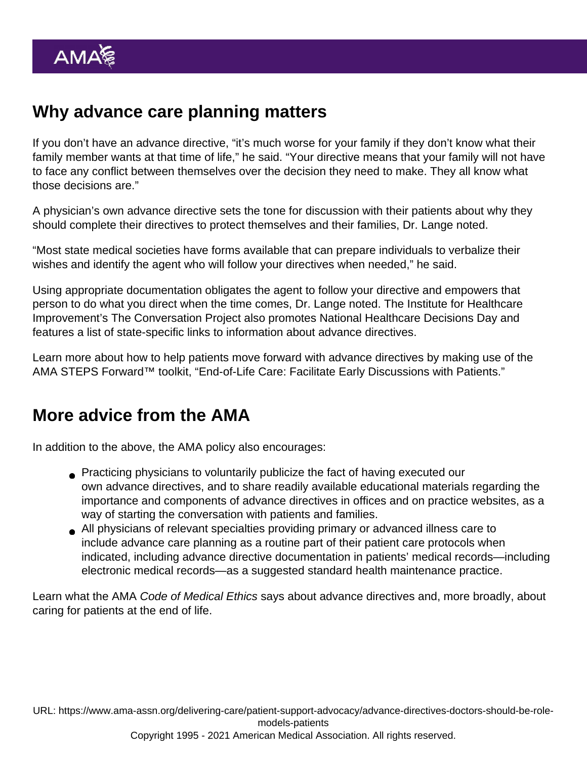## Why advance care planning matters

If you don't have an advance directive, "it's much worse for your family if they don't know what their family member wants at that time of life," he said. "Your directive means that your family will not have to face any conflict between themselves over the decision they need to make. They all know what those decisions are."

A physician's own advance directive sets the tone for discussion with their patients about why they should complete their directives to protect themselves and their families, Dr. Lange noted.

"Most state medical societies have forms available that can prepare individuals to verbalize their wishes and identify the agent who will follow your directives when needed," he said.

Using appropriate documentation obligates the agent to follow your directive and empowers that person to do what you direct when the time comes, Dr. Lange noted. The Institute for Healthcare Improvement's The Conversation Project also promotes National Healthcare Decisions Day and [features a list of state-specific links to information about advance directives.](https://theconversationproject.org/nhdd/advance-care-planning/)

Learn more about how to help patients move forward with advance directives by making use of the AMA STEPS Forward™ toolkit, "End-of-Life Care: [Facilitate Early Discussions with Patients](https://edhub.ama-assn.org/steps-forward/module/2702695)."

## More advice from the AMA

In addition to the above, the AMA policy also encourages:

- Practicing physicians to voluntarily publicize the fact of having executed our own advance directives, and to share readily available educational materials regarding the importance and components of advance directives in offices and on practice websites, as a way of starting the conversation with patients and families.
- All physicians of relevant specialties providing primary or advanced illness care to include advance care planning as a routine part of their patient care protocols when indicated, including advance directive documentation in patients' medical records—including electronic medical records—as a suggested standard health maintenance practice.

Learn what the [AMA Code of Medical Ethics](https://www.ama-assn.org/delivering-care/ethics/code-medical-ethics-overview) says about [advance directives](https://www.ama-assn.org/delivering-care/ethics/advance-directives) and, more broadly, about [caring for patients at the end of life](https://www.ama-assn.org/delivering-care/ethics/code-medical-ethics-caring-patients-end-life).

URL: [https://www.ama-assn.org/delivering-care/patient-support-advocacy/advance-directives-doctors-should-be-role](https://www.ama-assn.org/delivering-care/patient-support-advocacy/advance-directives-doctors-should-be-role-models-patients)[models-patients](https://www.ama-assn.org/delivering-care/patient-support-advocacy/advance-directives-doctors-should-be-role-models-patients)